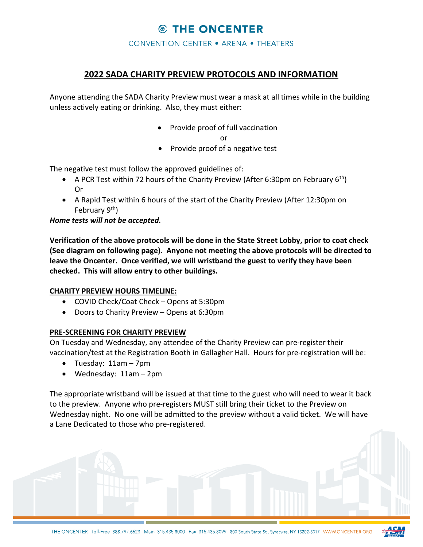## **© THE ONCENTER**

**CONVENTION CENTER . ARENA . THEATERS** 

### 2022 SADA CHARITY PREVIEW PROTOCOLS AND INFORMATION

Anyone attending the SADA Charity Preview must wear a mask at all times while in the building unless actively eating or drinking. Also, they must either:

Provide proof of full vaccination

or

Provide proof of a negative test

The negative test must follow the approved guidelines of:

- A PCR Test within 72 hours of the Charity Preview (After 6:30pm on February 6<sup>th</sup>) Or
- A Rapid Test within 6 hours of the start of the Charity Preview (After 12:30pm on February 9<sup>th</sup>)

Home tests will not be accepted.

Verification of the above protocols will be done in the State Street Lobby, prior to coat check (See diagram on following page). Anyone not meeting the above protocols will be directed to leave the Oncenter. Once verified, we will wristband the guest to verify they have been checked. This will allow entry to other buildings.

#### CHARITY PREVIEW HOURS TIMELINE:

- COVID Check/Coat Check Opens at 5:30pm
- Doors to Charity Preview Opens at 6:30pm

#### PRE-SCREENING FOR CHARITY PREVIEW

On Tuesday and Wednesday, any attendee of the Charity Preview can pre-register their vaccination/test at the Registration Booth in Gallagher Hall. Hours for pre-registration will be:

Tuesday: 11am – 7pm

i

Wednesday: 11am – 2pm

The appropriate wristband will be issued at that time to the guest who will need to wear it back to the preview. Anyone who pre-registers MUST still bring their ticket to the Preview on Wednesday night. No one will be admitted to the preview without a valid ticket. We will have a Lane Dedicated to those who pre-registered.